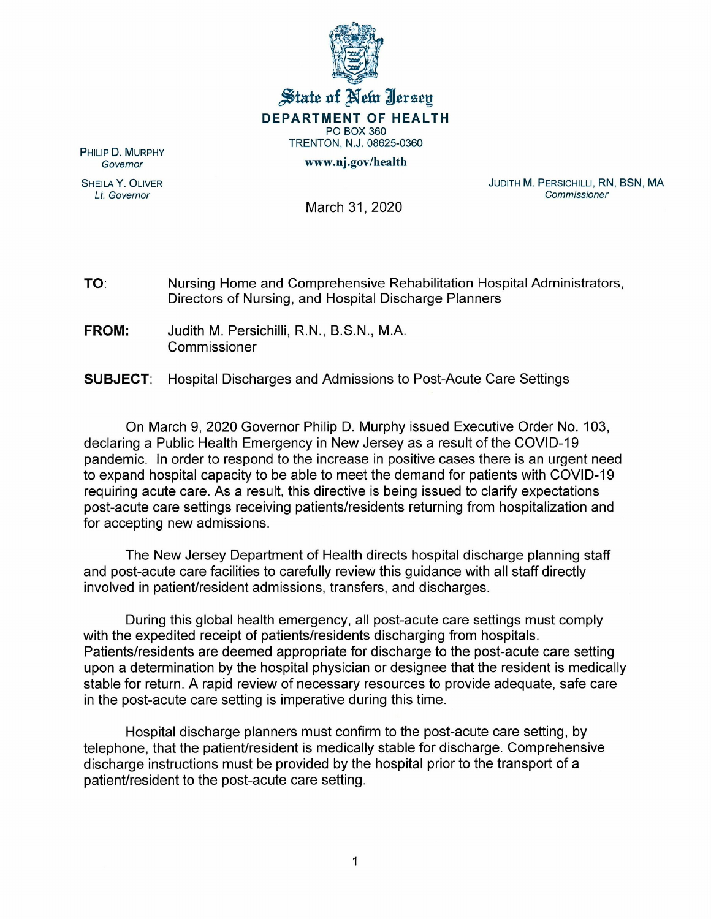

## State of New Jersey DEPARTMENT OF HEALTH PO BOX 360 TRENTON, N.J. 08625-0360 www.oj.gov/health

PHILIP D. MURPHY *Governor*

SHEILA Y. OLIVER *Lt. Governor*

JUDITH M. PERSICHILLI, RN, BSN, MA *Commissioner*

March 31, 2020

TO: Nursing Home and Comprehensive Rehabilitation Hospital Administrators, Directors of Nursing, and Hospital Discharge Planners

FROM: Judith M. Persichilli, R.N., B.S.N., M.A. Commissioner

SUBJECT: Hospital Discharges and Admissions to Post-Acute Care Settings

On March 9, 2020 Governor Philip D. Murphy issued Executive Order No.1 03, declaring a Public Health Emergency in New Jersey as a result of the COVID-19 pandemic. In order to respond to the increase in positive cases there is an urgent need to expand hospital capacity to be able to meet the demand for patients with COVID-19 requiring acute care. As a result, this directive is being issued to clarify expectations post-acute care settings receiving patients/residents returning from hospitalization and for accepting new admissions.

The New Jersey Department of Health directs hospital discharge planning staff and post-acute care facilities to carefully review this guidance with all staff directly involved in patient/resident admissions, transfers, and discharges.

During this global health emergency, all post-acute care settings must comply with the expedited receipt of patients/residents discharging from hospitals. Patients/residents are deemed appropriate for discharge to the post-acute care setting upon a determination by the hospital physician or designee that the resident is medically stable for return. A rapid review of necessary resources to provide adequate, safe care in the post-acute care setting is imperative during this time.

Hospital discharge planners must confirm to the post-acute care setting, by telephone, that the patient/resident is medically stable for discharge. Comprehensive discharge instructions must be provided by the hospital prior to the transport of a patient/resident to the post-acute care setting.